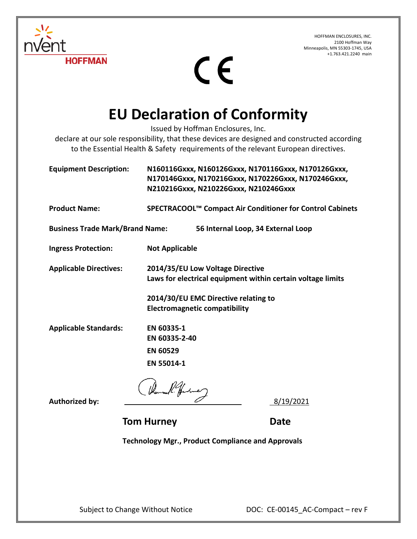HOFFMAN ENCLOSURES, INC. 2100 Hoffman Way Minneapolis, MN 55303-1745, USA +1.763.421.2240 main



## CE

## **EU Declaration of Conformity**

Issued by Hoffman Enclosures, Inc.

declare at our sole responsibility, that these devices are designed and constructed according to the Essential Health & Safety requirements of the relevant European directives.

| <b>Equipment Description:</b>          | N160116Gxxx, N160126Gxxx, N170116Gxxx, N170126Gxxx,<br>N170146Gxxx, N170216Gxxx, N170226Gxxx, N170246Gxxx, |
|----------------------------------------|------------------------------------------------------------------------------------------------------------|
|                                        | N210216Gxxx, N210226Gxxx, N210246Gxxx                                                                      |
| <b>Product Name:</b>                   | SPECTRACOOL™ Compact Air Conditioner for Control Cabinets                                                  |
| <b>Business Trade Mark/Brand Name:</b> | 56 Internal Loop, 34 External Loop                                                                         |
| <b>Ingress Protection:</b>             | <b>Not Applicable</b>                                                                                      |
| <b>Applicable Directives:</b>          | 2014/35/EU Low Voltage Directive<br>Laws for electrical equipment within certain voltage limits            |
|                                        | 2014/30/EU EMC Directive relating to<br><b>Electromagnetic compatibility</b>                               |
| <b>Applicable Standards:</b>           | EN 60335-1<br>EN 60335-2-40                                                                                |
|                                        | <b>EN 60529</b>                                                                                            |
|                                        | EN 55014-1                                                                                                 |
|                                        |                                                                                                            |
| <b>Authorized by:</b>                  | 8/19/2021                                                                                                  |

**Tom Hurney**  Date

**Technology Mgr., Product Compliance and Approvals**

Subject to Change Without Notice DOC: CE-00145\_AC-Compact – rev F